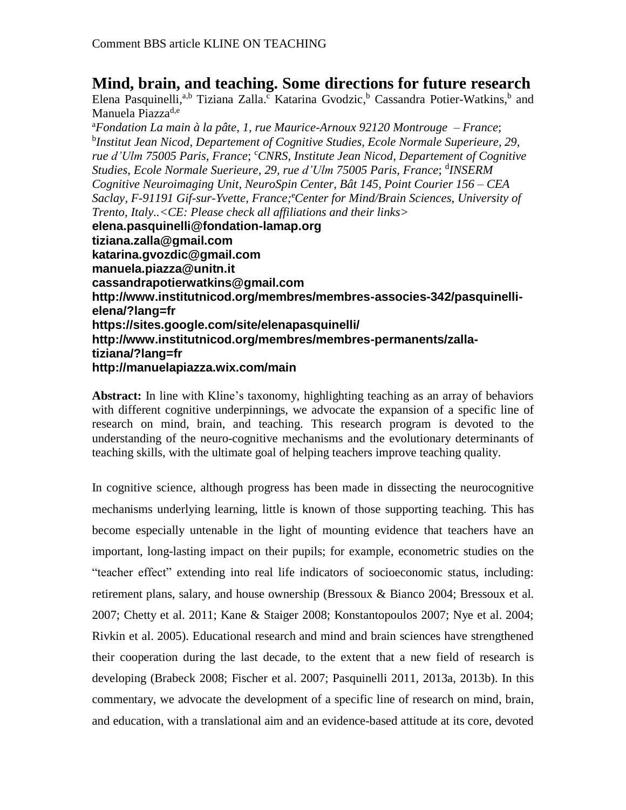## **Mind, brain, and teaching. Some directions for future research**

Elena Pasquinelli,<sup>a,b</sup> Tiziana Zalla.<sup>c</sup> Katarina Gvodzic,<sup>b</sup> Cassandra Potier-Watkins,<sup>b</sup> and Manuela Piazza<sup>d,e</sup>

<sup>a</sup>*Fondation La main à la pâte*, *1, rue Maurice-Arnoux 92120 Montrouge – France*; b *Institut Jean Nicod, Departement of Cognitive Studies, Ecole Normale Superieure, 29, rue d'Ulm 75005 Paris, France*; <sup>c</sup>*CNRS, Institute Jean Nicod, Departement of Cognitive Studies, Ecole Normale Suerieure, 29, rue d'Ulm 75005 Paris, France*; d *INSERM Cognitive Neuroimaging Unit, NeuroSpin Center, Bât 145, Point Courier 156 – CEA Saclay, F-91191 Gif-sur-Yvette, France;* <sup>e</sup>*Center for Mind/Brain Sciences, University of Trento, Italy..<CE: Please check all affiliations and their links>* **elena.pasquinelli@fondation-lamap.org tiziana.zalla@gmail.com katarina.gvozdic@gmail.com manuela.piazza@unitn.it cassandrapotierwatkins@gmail.com http://www.institutnicod.org/membres/membres-associes-342/pasquinellielena/?lang=fr https://sites.google.com/site/elenapasquinelli/ http://www.institutnicod.org/membres/membres-permanents/zallatiziana/?lang=fr http://manuelapiazza.wix.com/main**

**Abstract:** In line with Kline's taxonomy, highlighting teaching as an array of behaviors with different cognitive underpinnings, we advocate the expansion of a specific line of research on mind, brain, and teaching. This research program is devoted to the understanding of the neuro-cognitive mechanisms and the evolutionary determinants of teaching skills, with the ultimate goal of helping teachers improve teaching quality.

In cognitive science, although progress has been made in dissecting the neurocognitive mechanisms underlying learning, little is known of those supporting teaching. This has become especially untenable in the light of mounting evidence that teachers have an important, long-lasting impact on their pupils; for example, econometric studies on the "teacher effect" extending into real life indicators of socioeconomic status, including: retirement plans, salary, and house ownership (Bressoux & Bianco 2004; Bressoux et al. 2007; Chetty et al. 2011; Kane & Staiger 2008; Konstantopoulos 2007; Nye et al. 2004; Rivkin et al. 2005). Educational research and mind and brain sciences have strengthened their cooperation during the last decade, to the extent that a new field of research is developing (Brabeck 2008; Fischer et al. 2007; Pasquinelli 2011, 2013a, 2013b). In this commentary, we advocate the development of a specific line of research on mind, brain, and education, with a translational aim and an evidence-based attitude at its core, devoted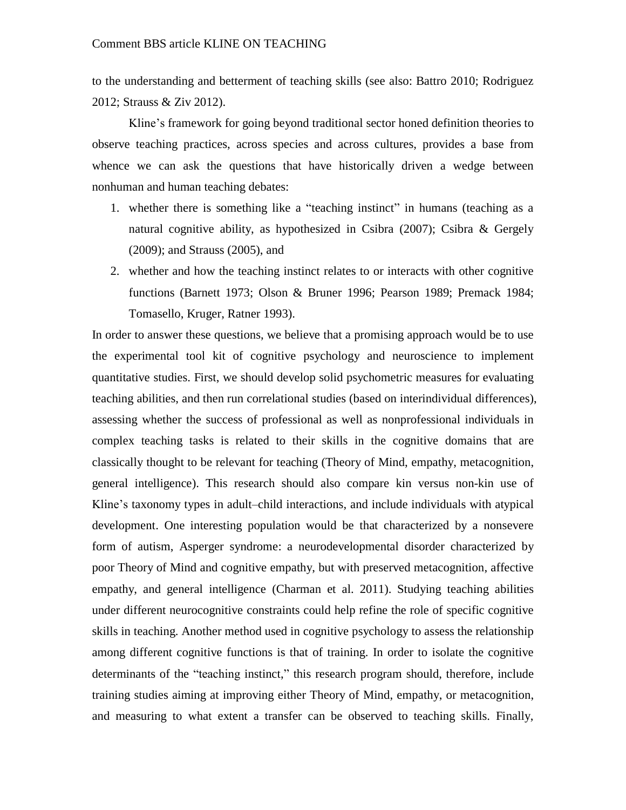to the understanding and betterment of teaching skills (see also: Battro 2010; Rodriguez 2012; Strauss & Ziv 2012).

Kline's framework for going beyond traditional sector honed definition theories to observe teaching practices, across species and across cultures, provides a base from whence we can ask the questions that have historically driven a wedge between nonhuman and human teaching debates:

- 1. whether there is something like a "teaching instinct" in humans (teaching as a natural cognitive ability, as hypothesized in Csibra (2007); Csibra & Gergely (2009); and Strauss (2005), and
- 2. whether and how the teaching instinct relates to or interacts with other cognitive functions (Barnett 1973; Olson & Bruner 1996; Pearson 1989; Premack 1984; Tomasello, Kruger, Ratner 1993).

In order to answer these questions, we believe that a promising approach would be to use the experimental tool kit of cognitive psychology and neuroscience to implement quantitative studies. First, we should develop solid psychometric measures for evaluating teaching abilities, and then run correlational studies (based on interindividual differences), assessing whether the success of professional as well as nonprofessional individuals in complex teaching tasks is related to their skills in the cognitive domains that are classically thought to be relevant for teaching (Theory of Mind, empathy, metacognition, general intelligence). This research should also compare kin versus non-kin use of Kline's taxonomy types in adult–child interactions, and include individuals with atypical development. One interesting population would be that characterized by a nonsevere form of autism, Asperger syndrome: a neurodevelopmental disorder characterized by poor Theory of Mind and cognitive empathy, but with preserved metacognition, affective empathy, and general intelligence (Charman et al. 2011). Studying teaching abilities under different neurocognitive constraints could help refine the role of specific cognitive skills in teaching. Another method used in cognitive psychology to assess the relationship among different cognitive functions is that of training. In order to isolate the cognitive determinants of the "teaching instinct," this research program should, therefore, include training studies aiming at improving either Theory of Mind, empathy, or metacognition, and measuring to what extent a transfer can be observed to teaching skills. Finally,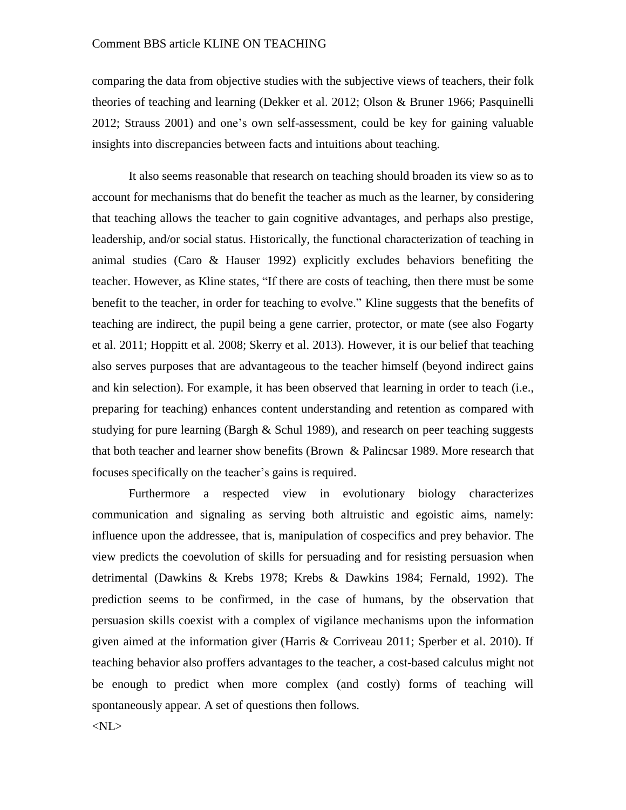## Comment BBS article KLINE ON TEACHING

comparing the data from objective studies with the subjective views of teachers, their folk theories of teaching and learning (Dekker et al. 2012; Olson & Bruner 1966; Pasquinelli 2012; Strauss 2001) and one's own self-assessment, could be key for gaining valuable insights into discrepancies between facts and intuitions about teaching.

It also seems reasonable that research on teaching should broaden its view so as to account for mechanisms that do benefit the teacher as much as the learner, by considering that teaching allows the teacher to gain cognitive advantages, and perhaps also prestige, leadership, and/or social status. Historically, the functional characterization of teaching in animal studies (Caro & Hauser 1992) explicitly excludes behaviors benefiting the teacher. However, as Kline states, "If there are costs of teaching, then there must be some benefit to the teacher, in order for teaching to evolve." Kline suggests that the benefits of teaching are indirect, the pupil being a gene carrier, protector, or mate (see also Fogarty et al. 2011; Hoppitt et al. 2008; Skerry et al. 2013). However, it is our belief that teaching also serves purposes that are advantageous to the teacher himself (beyond indirect gains and kin selection). For example, it has been observed that learning in order to teach (i.e., preparing for teaching) enhances content understanding and retention as compared with studying for pure learning (Bargh  $\&$  Schul 1989), and research on peer teaching suggests that both teacher and learner show benefits (Brown & Palincsar 1989. More research that focuses specifically on the teacher's gains is required.

Furthermore a respected view in evolutionary biology characterizes communication and signaling as serving both altruistic and egoistic aims, namely: influence upon the addressee, that is, manipulation of cospecifics and prey behavior. The view predicts the coevolution of skills for persuading and for resisting persuasion when detrimental (Dawkins & Krebs 1978; Krebs & Dawkins 1984; Fernald, 1992). The prediction seems to be confirmed, in the case of humans, by the observation that persuasion skills coexist with a complex of vigilance mechanisms upon the information given aimed at the information giver (Harris & Corriveau 2011; Sperber et al. 2010). If teaching behavior also proffers advantages to the teacher, a cost-based calculus might not be enough to predict when more complex (and costly) forms of teaching will spontaneously appear. A set of questions then follows.

<NL>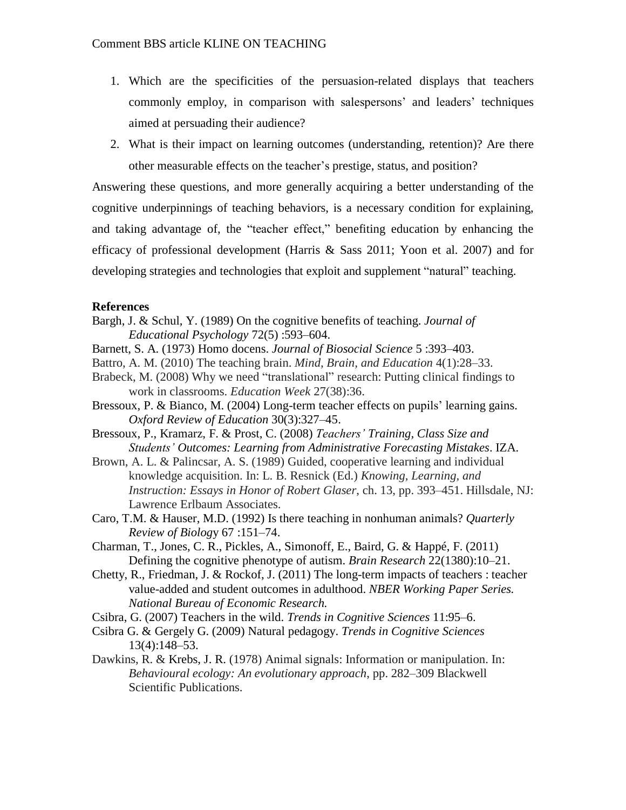- 1. Which are the specificities of the persuasion-related displays that teachers commonly employ, in comparison with salespersons' and leaders' techniques aimed at persuading their audience?
- 2. What is their impact on learning outcomes (understanding, retention)? Are there other measurable effects on the teacher's prestige, status, and position?

Answering these questions, and more generally acquiring a better understanding of the cognitive underpinnings of teaching behaviors, is a necessary condition for explaining, and taking advantage of, the "teacher effect," benefiting education by enhancing the efficacy of professional development (Harris & Sass 2011; Yoon et al. 2007) and for developing strategies and technologies that exploit and supplement "natural" teaching.

## **References**

- Bargh, J. & Schul, Y. (1989) On the cognitive benefits of teaching. *Journal of Educational Psychology* 72(5) :593–604.
- Barnett, S. A. (1973) Homo docens. *Journal of Biosocial Science* 5 :393–403.
- Battro, A. M. (2010) The teaching brain. *Mind, Brain, and Education* 4(1):28–33.
- Brabeck, M. (2008) Why we need "translational" research: Putting clinical findings to work in classrooms. *Education Week* 27(38):36.
- Bressoux, P. & Bianco, M. (2004) Long-term teacher effects on pupils' learning gains. *Oxford Review of Education* 30(3):327–45.
- Bressoux, P., Kramarz, F. & Prost, C. (2008) *Teachers' Training, Class Size and Students' Outcomes: Learning from Administrative Forecasting Mistakes*. IZA.
- Brown, A. L. & Palincsar, A. S. (1989) Guided, cooperative learning and individual knowledge acquisition. In: L. B. Resnick (Ed.) *Knowing, Learning, and Instruction: Essays in Honor of Robert Glaser*, ch. 13, pp. 393–451. Hillsdale, NJ: Lawrence Erlbaum Associates.
- Caro, T.M. & Hauser, M.D. (1992) Is there teaching in nonhuman animals? *Quarterly Review of Biolog*y 67 :151–74.
- Charman, T., Jones, C. R., Pickles, A., Simonoff, E., Baird, G. & Happé, F. (2011) Defining the cognitive phenotype of autism. *Brain Research* 22(1380):10–21.
- Chetty, R., Friedman, J. & Rockof, J. (2011) The long-term impacts of teachers : teacher value-added and student outcomes in adulthood. *NBER Working Paper Series. National Bureau of Economic Research.*
- Csibra, G. (2007) Teachers in the wild. *Trends in Cognitive Sciences* 11:95–6.
- Csibra G. & Gergely G. (2009) Natural pedagogy. *Trends in Cognitive Sciences* 13(4):148–53.
- Dawkins, R. & Krebs, J. R. (1978) Animal signals: Information or manipulation. In: *Behavioural ecology: An evolutionary approach*, pp. 282–309 Blackwell Scientific Publications.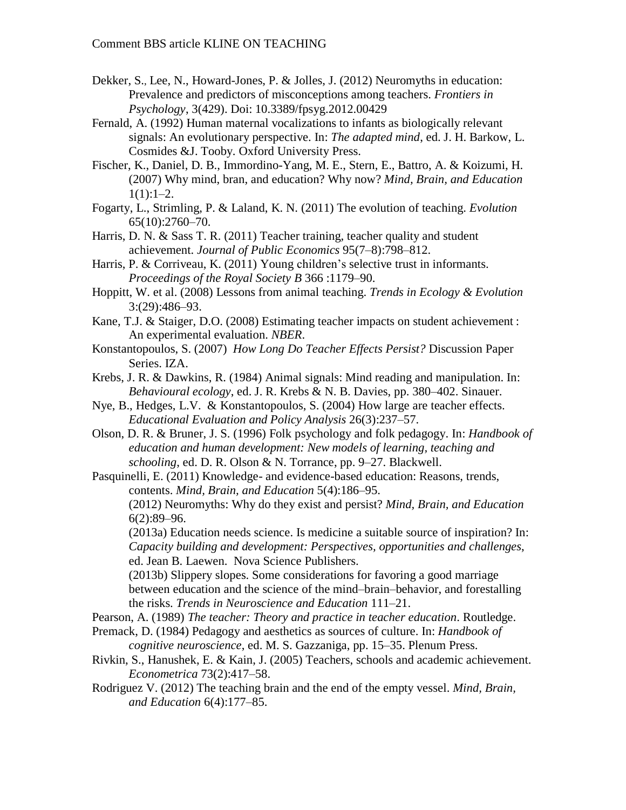- Dekker, S., Lee, N., Howard-Jones, P. & Jolles, J. (2012) Neuromyths in education: Prevalence and predictors of misconceptions among teachers. *Frontiers in Psychology*, 3(429). Doi: 10.3389/fpsyg.2012.00429
- Fernald, A. (1992) Human maternal vocalizations to infants as biologically relevant signals: An evolutionary perspective. In: *The adapted mind*, ed. J. H. Barkow, L. Cosmides &J. Tooby. Oxford University Press.
- Fischer, K., Daniel, D. B., Immordino-Yang, M. E., Stern, E., Battro, A. & Koizumi, H. (2007) Why mind, bran, and education? Why now? *Mind, Brain, and Education*  $1(1):1-2.$
- Fogarty, L., Strimling, P. & Laland, K. N. (2011) The evolution of teaching. *Evolution* 65(10):2760–70.
- Harris, D. N. & Sass T. R. (2011) Teacher training, teacher quality and student achievement. *Journal of Public Economics* 95(7–8):798–812.
- Harris, P. & Corriveau, K. (2011) Young children's selective trust in informants. *Proceedings of the Royal Society B* 366 :1179–90.
- Hoppitt, W. et al. (2008) Lessons from animal teaching. *Trends in Ecology & Evolution* 3:(29):486–93.
- Kane, T.J. & Staiger, D.O. (2008) Estimating teacher impacts on student achievement : An experimental evaluation. *NBER*.
- Konstantopoulos, S. (2007) *How Long Do Teacher Effects Persist?* Discussion Paper Series. IZA.
- Krebs, J. R. & Dawkins, R. (1984) Animal signals: Mind reading and manipulation. In: *Behavioural ecology*, ed. J. R. Krebs & N. B. Davies, pp. 380–402. Sinauer.
- Nye, B., Hedges, L.V. & Konstantopoulos, S. (2004) How large are teacher effects. *Educational Evaluation and Policy Analysis* 26(3):237–57.
- Olson, D. R. & Bruner, J. S. (1996) Folk psychology and folk pedagogy. In: *Handbook of education and human development: New models of learning, teaching and schooling*, ed. D. R. Olson & N. Torrance, pp. 9–27. Blackwell.
- Pasquinelli, E. (2011) Knowledge- and evidence-based education: Reasons, trends, contents. *Mind, Brain, and Education* 5(4):186–95. (2012) Neuromyths: Why do they exist and persist? *Mind, Brain, and Education* 6(2):89–96.
	- (2013a) Education needs science. Is medicine a suitable source of inspiration? In: *Capacity building and development: Perspectives, opportunities and challenges*, ed. Jean B. Laewen. Nova Science Publishers.

(2013b) Slippery slopes. Some considerations for favoring a good marriage between education and the science of the mind–brain–behavior, and forestalling the risks. *Trends in Neuroscience and Education* 111–21.

Pearson, A. (1989) *The teacher: Theory and practice in teacher education*. Routledge.

- Premack, D. (1984) Pedagogy and aesthetics as sources of culture. In: *Handbook of cognitive neuroscience*, ed. M. S. Gazzaniga, pp. 15–35. Plenum Press.
- Rivkin, S., Hanushek, E. & Kain, J. (2005) Teachers, schools and academic achievement. *Econometrica* 73(2):417–58.
- Rodriguez V. (2012) The teaching brain and the end of the empty vessel. *Mind, Brain, and Education* 6(4):177–85.